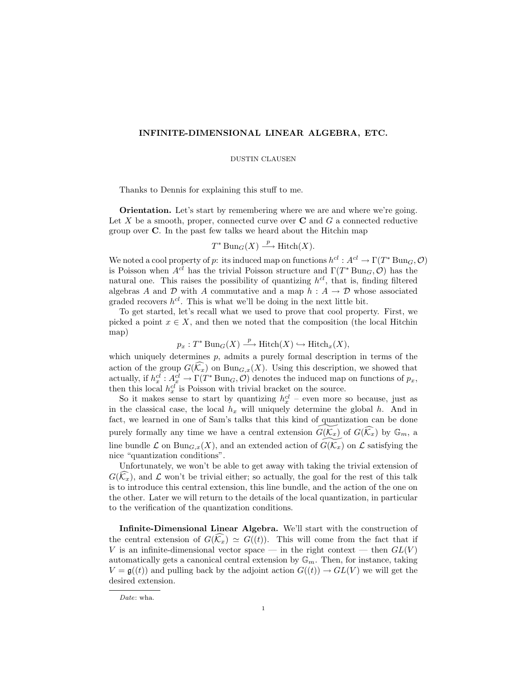# INFINITE-DIMENSIONAL LINEAR ALGEBRA, ETC.

### DUSTIN CLAUSEN

Thanks to Dennis for explaining this stuff to me.

Orientation. Let's start by remembering where we are and where we're going. Let X be a smooth, proper, connected curve over  $C$  and  $G$  a connected reductive group over C. In the past few talks we heard about the Hitchin map

$$
T^* \operatorname{Bun}_G(X) \xrightarrow{p} \operatorname{Hitch}(X).
$$

We noted a cool property of p: its induced map on functions  $h^{cl}: A^{cl} \to \Gamma(T^*\operatorname{Bun}_G,\mathcal{O})$ is Poisson when  $A^{cl}$  has the trivial Poisson structure and  $\Gamma(T^* \text{Bun}_G, \mathcal{O})$  has the natural one. This raises the possibility of quantizing  $h^{cl}$ , that is, finding filtered algebras A and D with A commutative and a map  $h : A \to D$  whose associated graded recovers  $h^{cl}$ . This is what we'll be doing in the next little bit.

To get started, let's recall what we used to prove that cool property. First, we picked a point  $x \in X$ , and then we noted that the composition (the local Hitchin map)

$$
p_x: T^* \operatorname{Bun}_G(X) \xrightarrow{p} \operatorname{Hitch}(X) \hookrightarrow \operatorname{Hitch}_x(X),
$$

which uniquely determines  $p$ , admits a purely formal description in terms of the action of the group  $G(\widehat{K}_x)$  on  $Bun_{G,x}(X)$ . Using this description, we showed that actually, if  $h_x^{cl}: A_x^{cl} \to \Gamma(T^* \text{Bun}_G, \mathcal{O})$  denotes the induced map on functions of  $p_x$ , then this local  $h_x^{cl}$  is Poisson with trivial bracket on the source.

So it makes sense to start by quantizing  $h_x^{cl}$  – even more so because, just as in the classical case, the local  $h_x$  will uniquely determine the global h. And in fact, we learned in one of Sam's talks that this kind of quantization can be done purely formally any time we have a central extension  $G(\overline{\mathcal{K}}_x)$  of  $G(\widehat{\mathcal{K}}_x)$  by  $\mathbb{G}_m$ , a line bundle  $\mathcal L$  on  $\text{Bun}_{G,x}(X)$ , and an extended action of  $\widetilde{G(\mathcal K_x)}$  on  $\mathcal L$  satisfying the nice "quantization conditions".

Unfortunately, we won't be able to get away with taking the trivial extension of  $G(\widehat{k}_x)$ , and  $\mathcal L$  won't be trivial either; so actually, the goal for the rest of this talk is to introduce this central extension, this line bundle, and the action of the one on the other. Later we will return to the details of the local quantization, in particular to the verification of the quantization conditions.

Infinite-Dimensional Linear Algebra. We'll start with the construction of the central extension of  $G(\widehat{k_x}) \simeq G((t))$ . This will come from the fact that if V is an infinite-dimensional vector space — in the right context — then  $GL(V)$ automatically gets a canonical central extension by  $\mathbb{G}_m$ . Then, for instance, taking  $V = \mathfrak{g}((t))$  and pulling back by the adjoint action  $G((t)) \to GL(V)$  we will get the desired extension.

Date: wha.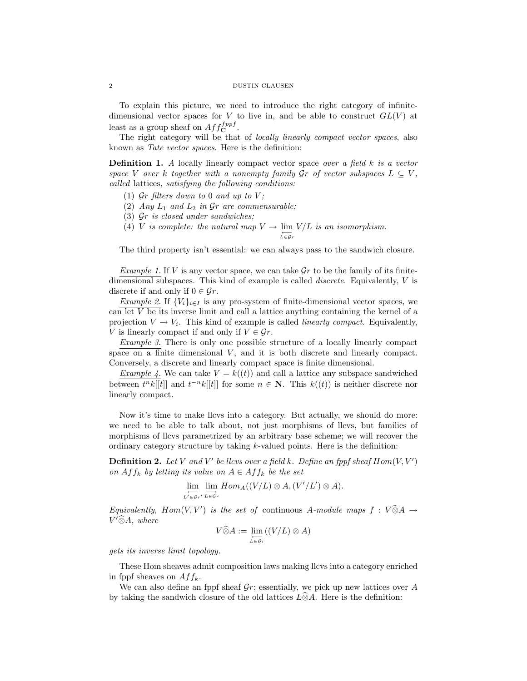To explain this picture, we need to introduce the right category of infinitedimensional vector spaces for V to live in, and be able to construct  $GL(V)$  at least as a group sheaf on  $Aff_{\bf C}^{fppf}$ .

The right category will be that of *locally linearly compact vector spaces*, also known as Tate vector spaces. Here is the definition:

**Definition 1.** A locally linearly compact vector space over a field k is a vector space V over k together with a nonempty family  $\mathcal{G}$ r of vector subspaces  $L \subseteq V$ , called lattices, satisfying the following conditions:

- (1)  $\mathcal{G}r$  filters down to 0 and up to V;
- (2) Any  $L_1$  and  $L_2$  in  $\mathcal{G}r$  are commensurable;
- (3) Gr is closed under sandwiches;
- (4) *V* is complete: the natural map  $V \to \lim_{\substack{L \in \mathcal{G}_r}} V/L$  is an isomorphism.

The third property isn't essential: we can always pass to the sandwich closure.

Example 1. If V is any vector space, we can take  $\mathcal{G}r$  to be the family of its finitedimensional subspaces. This kind of example is called discrete. Equivalently, V is discrete if and only if  $0 \in \mathcal{G}_r$ .

*Example 2.* If  $\{V_i\}_{i\in I}$  is any pro-system of finite-dimensional vector spaces, we can let  $V$  be its inverse limit and call a lattice anything containing the kernel of a projection  $V \to V_i$ . This kind of example is called *linearly compact*. Equivalently, V is linearly compact if and only if  $V \in \mathcal{G}_r$ .

Example 3. There is only one possible structure of a locally linearly compact space on a finite dimensional  $V$ , and it is both discrete and linearly compact. Conversely, a discrete and linearly compact space is finite dimensional.

Example 4. We can take  $V = k((t))$  and call a lattice any subspace sandwiched between  $t^n k[[t]]$  and  $t^{-n} k[[t]]$  for some  $n \in \mathbb{N}$ . This  $k((t))$  is neither discrete nor linearly compact.

Now it's time to make llcvs into a category. But actually, we should do more: we need to be able to talk about, not just morphisms of llcvs, but families of morphisms of llcvs parametrized by an arbitrary base scheme; we will recover the ordinary category structure by taking  $k$ -valued points. Here is the definition:

**Definition 2.** Let V and V' be llcvs over a field k. Define an fppf sheaf  $Hom(V, V')$ on  $Aff_k$  by letting its value on  $A \in Aff_k$  be the set

$$
\lim_{L' \in \mathcal{G}_{r'}} \lim_{L \to \mathcal{G}_r} Hom_A((V/L) \otimes A, (V'/L') \otimes A).
$$

Equivalently,  $Hom(V, V')$  is the set of continuous A-module maps  $f : V \widehat{\otimes} A \to V \widehat{\otimes} A$  $V'\widehat{\otimes}A$ , where

$$
V\widehat{\otimes}A := \lim_{L\in\mathcal{G}_r} ((V/L)\otimes A)
$$

gets its inverse limit topology.

These Hom sheaves admit composition laws making llcvs into a category enriched in fppf sheaves on  $Aff_k$ .

We can also define an fppf sheaf  $\mathcal{G}_r$ ; essentially, we pick up new lattices over A by taking the sandwich closure of the old lattices  $\widehat{L}\widehat{\otimes}A$ . Here is the definition: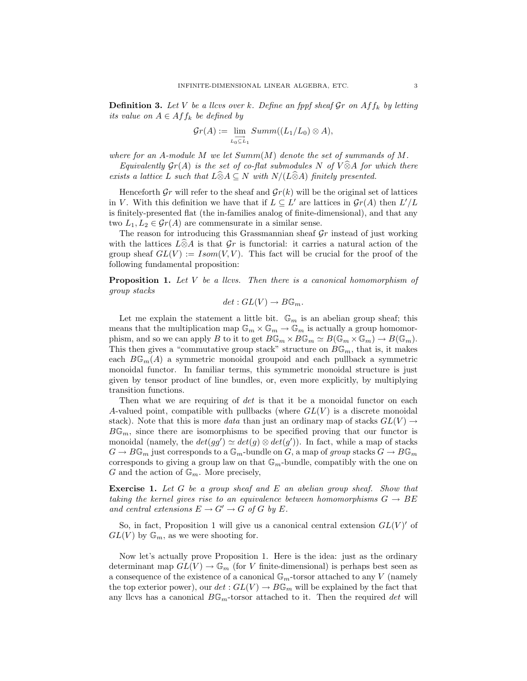**Definition 3.** Let V be a llcvs over k. Define an fppf sheaf  $\mathcal{G}_T$  on  $Aff_k$  by letting its value on  $A \in Aff_k$  be defined by

$$
\mathcal{G}r(A) := \lim_{L_0 \subseteq L_1} Summ((L_1/L_0) \otimes A),
$$

where for an A-module M we let  $Summ(M)$  denote the set of summands of M.

Equivalently  $\mathcal{G}r(A)$  is the set of co-flat submodules N of  $V\widehat{\otimes}A$  for which there exists a lattice L such that  $L\widehat{\otimes}A \subseteq N$  with  $N/(L\widehat{\otimes}A)$  finitely presented.

Henceforth Gr will refer to the sheaf and  $\mathcal{G}_r(k)$  will be the original set of lattices in V. With this definition we have that if  $L \subseteq L'$  are lattices in  $\mathcal{G}_r(A)$  then  $L'/L$ is finitely-presented flat (the in-families analog of finite-dimensional), and that any two  $L_1, L_2 \in \mathcal{G}r(A)$  are commensurate in a similar sense.

The reason for introducing this Grassmannian sheaf  $\mathcal{G}_r$  instead of just working with the lattices  $\widehat{L} \widehat{\otimes} A$  is that  $\mathcal{G}r$  is functorial: it carries a natural action of the group sheaf  $GL(V) := Isom(V, V)$ . This fact will be crucial for the proof of the following fundamental proposition:

**Proposition 1.** Let V be a llcvs. Then there is a canonical homomorphism of group stacks

$$
det: GL(V) \to B\mathbb{G}_m.
$$

Let me explain the statement a little bit.  $\mathbb{G}_m$  is an abelian group sheaf; this means that the multiplication map  $\mathbb{G}_m \times \mathbb{G}_m \to \mathbb{G}_m$  is actually a group homomorphism, and so we can apply B to it to get  $B\mathbb{G}_m \times B\mathbb{G}_m \simeq B(\mathbb{G}_m \times \mathbb{G}_m) \to B(\mathbb{G}_m)$ . This then gives a "commutative group stack" structure on  $B\mathbb{G}_m$ , that is, it makes each  $B\mathbb{G}_m(A)$  a symmetric monoidal groupoid and each pullback a symmetric monoidal functor. In familiar terms, this symmetric monoidal structure is just given by tensor product of line bundles, or, even more explicitly, by multiplying transition functions.

Then what we are requiring of det is that it be a monoidal functor on each A-valued point, compatible with pullbacks (where  $GL(V)$  is a discrete monoidal stack). Note that this is more *data* than just an ordinary map of stacks  $GL(V) \rightarrow$  $B\mathbb{G}_m$ , since there are isomorphisms to be specified proving that our functor is monoidal (namely, the  $det(gg') \simeq det(g) \otimes det(g')$ ). In fact, while a map of stacks  $G \to B\mathbb{G}_m$  just corresponds to a  $\mathbb{G}_m$ -bundle on G, a map of group stacks  $G \to B\mathbb{G}_m$ corresponds to giving a group law on that  $\mathbb{G}_m$ -bundle, compatibly with the one on G and the action of  $\mathbb{G}_m$ . More precisely,

Exercise 1. Let G be a group sheaf and E an abelian group sheaf. Show that taking the kernel gives rise to an equivalence between homomorphisms  $G \rightarrow BE$ and central extensions  $E \to G' \to G$  of G by E.

So, in fact, Proposition 1 will give us a canonical central extension  $GL(V)'$  of  $GL(V)$  by  $\mathbb{G}_m$ , as we were shooting for.

Now let's actually prove Proposition 1. Here is the idea: just as the ordinary determinant map  $GL(V) \to \mathbb{G}_m$  (for V finite-dimensional) is perhaps best seen as a consequence of the existence of a canonical  $\mathbb{G}_m$ -torsor attached to any V (namely the top exterior power), our  $det: GL(V) \to B\mathbb{G}_m$  will be explained by the fact that any llcvs has a canonical  $B\mathbb{G}_m$ -torsor attached to it. Then the required det will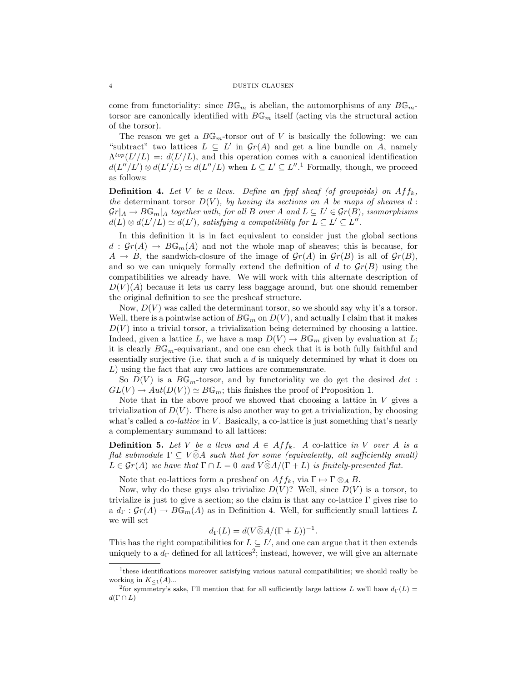come from functoriality: since  $B\mathbb{G}_m$  is abelian, the automorphisms of any  $B\mathbb{G}_m$ torsor are canonically identified with  $B\mathbb{G}_m$  itself (acting via the structural action of the torsor).

The reason we get a  $B\mathbb{G}_m$ -torsor out of V is basically the following: we can "subtract" two lattices  $L \subseteq L'$  in  $\mathcal{G}_r(A)$  and get a line bundle on A, namely  $\Lambda^{top}(L'/L) =: d(L'/L)$ , and this operation comes with a canonical identification  $d(L''/L') \otimes d(L'/L) \simeq d(L''/L)$  when  $L \subseteq L' \subseteq L''$ .<sup>1</sup> Formally, though, we proceed as follows:

**Definition 4.** Let V be a llcvs. Define an fppf sheaf (of groupoids) on  $Aff_k$ , the determinant torsor  $D(V)$ , by having its sections on A be maps of sheaves d:  $\mathcal{G}r|_A \to B\mathbb{G}_m|_A$  together with, for all B over A and  $L \subseteq L' \in \mathcal{G}r(B)$ , isomorphisms  $d(L) \otimes d(L'/L) \simeq d(L')$ , satisfying a compatibility for  $L \subseteq L' \subseteq L''$ .

In this definition it is in fact equivalent to consider just the global sections  $d : \mathcal{G}r(A) \to B\mathbb{G}_m(A)$  and not the whole map of sheaves; this is because, for  $A \rightarrow B$ , the sandwich-closure of the image of  $\mathcal{G}r(A)$  in  $\mathcal{G}r(B)$  is all of  $\mathcal{G}r(B)$ , and so we can uniquely formally extend the definition of d to  $\mathcal{G}r(B)$  using the compatibilities we already have. We will work with this alternate description of  $D(V)(A)$  because it lets us carry less baggage around, but one should remember the original definition to see the presheaf structure.

Now,  $D(V)$  was called the determinant torsor, so we should say why it's a torsor. Well, there is a pointwise action of  $B\mathbb{G}_m$  on  $D(V)$ , and actually I claim that it makes  $D(V)$  into a trivial torsor, a trivialization being determined by choosing a lattice. Indeed, given a lattice L, we have a map  $D(V) \to B\mathbb{G}_m$  given by evaluation at L; it is clearly  $B\mathbb{G}_m$ -equivariant, and one can check that it is both fully faithful and essentially surjective (i.e. that such a  $d$  is uniquely determined by what it does on L) using the fact that any two lattices are commensurate.

So  $D(V)$  is a  $B\mathbb{G}_m$ -torsor, and by functoriality we do get the desired det:  $GL(V) \to Aut(D(V)) \simeq B\mathbb{G}_m$ ; this finishes the proof of Proposition 1.

Note that in the above proof we showed that choosing a lattice in  $V$  gives a trivialization of  $D(V)$ . There is also another way to get a trivialization, by choosing what's called a *co-lattice* in  $V$ . Basically, a co-lattice is just something that's nearly a complementary summand to all lattices:

**Definition 5.** Let V be a llcvs and  $A \in Aff_k$ . A co-lattice in V over A is a flat submodule  $\Gamma \subseteq V \widehat{\otimes} A$  such that for some (equivalently, all sufficiently small)  $L \in \mathcal{G}_r(A)$  we have that  $\Gamma \cap L = 0$  and  $V \widehat{\otimes} A/(\Gamma + L)$  is finitely-presented flat.

Note that co-lattices form a presheaf on  $Aff_k$ , via  $\Gamma \mapsto \Gamma \otimes_A B$ .

Now, why do these guys also trivialize  $D(V)$ ? Well, since  $D(V)$  is a torsor, to trivialize is just to give a section; so the claim is that any co-lattice  $\Gamma$  gives rise to a  $d_{\Gamma}: \mathcal{G}r(A) \to B\mathbb{G}_m(A)$  as in Definition 4. Well, for sufficiently small lattices L we will set

$$
d_{\Gamma}(L) = d(V \widehat{\otimes} A/(\Gamma + L))^{-1}.
$$

This has the right compatibilities for  $L \subseteq L'$ , and one can argue that it then extends uniquely to a  $d_{\Gamma}$  defined for all lattices<sup>2</sup>; instead, however, we will give an alternate

<sup>&</sup>lt;sup>1</sup>these identifications moreover satisfying various natural compatibilities; we should really be working in  $K_{\leq 1}(A)$ ...

<sup>&</sup>lt;sup>2</sup>for symmetry's sake, I'll mention that for all sufficiently large lattices L we'll have  $d_{\Gamma}(L)$  =  $d(\Gamma \cap L)$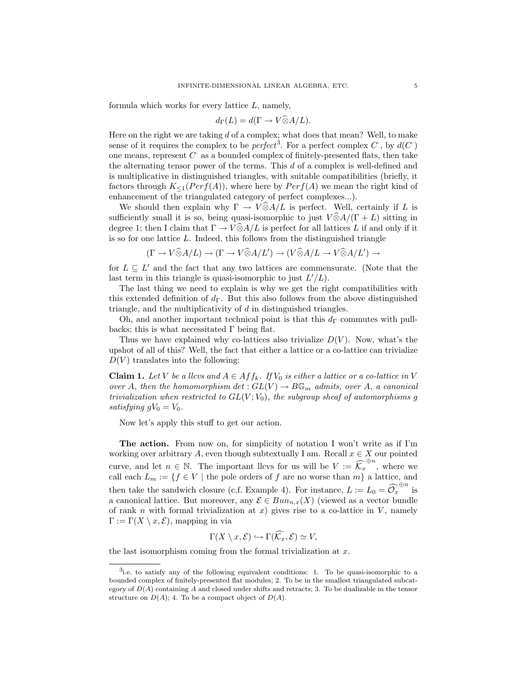formula which works for every lattice L, namely,

$$
d_{\Gamma}(L) = d(\Gamma \to V \widehat{\otimes} A/L).
$$

Here on the right we are taking  $d$  of a complex; what does that mean? Well, to make sense of it requires the complex to be *perfect*<sup>3</sup>. For a perfect complex  $C$ , by  $d(C)$ one means, represent  $C^{\cdot}$  as a bounded complex of finitely-presented flats, then take the alternating tensor power of the terms. This d of a complex is well-defined and is multiplicative in distinguished triangles, with suitable compatibilities (briefly, it factors through  $K_{\leq 1}(Perf(A))$ , where here by  $Perf(A)$  we mean the right kind of enhancement of the triangulated category of perfect complexes...).

We should then explain why  $\Gamma \to V \widehat{\otimes} A/L$  is perfect. Well, certainly if L is sufficiently small it is so, being quasi-isomorphic to just  $V\widehat{\otimes}A/(\Gamma+L)$  sitting in degree 1; then I claim that  $\Gamma \to V \hat{\otimes} A/L$  is perfect for all lattices L if and only if it is so for one lattice  $L$ . Indeed, this follows from the distinguished triangle

$$
(\Gamma \to V \widehat{\otimes} A/L) \to (\Gamma \to V \widehat{\otimes} A/L') \to (V \widehat{\otimes} A/L \to V \widehat{\otimes} A/L') \to
$$

for  $L \subseteq L'$  and the fact that any two lattices are commensurate. (Note that the last term in this triangle is quasi-isomorphic to just  $L'/L$ ).

The last thing we need to explain is why we get the right compatibilities with this extended definition of  $d_{\Gamma}$ . But this also follows from the above distinguished triangle, and the multiplicativity of d in distinguished triangles.

Oh, and another important technical point is that this  $d_{\Gamma}$  commutes with pullbacks; this is what necessitated  $\Gamma$  being flat.

Thus we have explained why co-lattices also trivialize  $D(V)$ . Now, what's the upshot of all of this? Well, the fact that either a lattice or a co-lattice can trivialize  $D(V)$  translates into the following:

**Claim 1.** Let V be a llcvs and  $A \in Aff_k$ . If  $V_0$  is either a lattice or a co-lattice in V over A, then the homomorphism  $det: GL(V) \to B\mathbb{G}_m$  admits, over A, a canonical trivialization when restricted to  $GL(V; V_0)$ , the subgroup sheaf of automorphisms g satisfying  $gV_0 = V_0$ .

Now let's apply this stuff to get our action.

The action. From now on, for simplicity of notation I won't write as if I'm working over arbitrary A, even though subtextually I am. Recall  $x \in X$  our pointed curve, and let  $n \in \mathbb{N}$ . The important llcvs for us will be  $V := \widehat{K}_x^{\oplus n}$ , where we call each  $L_m := \{f \in V \mid \text{the pole orders of } f \text{ are no worse than } m\}$  a lattice, and then take the sandwich closure (c.f. Example 4). For instance,  $L := L_0 = \widehat{\mathcal{O}_x}^{\oplus n}$  is a canonical lattice. But moreover, any  $\mathcal{E} \in Bun_{n,x}(X)$  (viewed as a vector bundle of rank n with formal trivialization at x) gives rise to a co-lattice in  $V$ , namely  $\Gamma := \Gamma(X \setminus x, \mathcal{E})$ , mapping in via

$$
\Gamma(X \setminus x, \mathcal{E}) \hookrightarrow \Gamma(\widehat{\mathcal{K}_x}, \mathcal{E}) \simeq V,
$$

the last isomorphism coming from the formal trivialization at  $x$ .

<sup>3</sup> i.e. to satisfy any of the following equivalent conditions: 1. To be quasi-isomorphic to a bounded complex of finitely-presented flat modules; 2. To be in the smallest triangulated subcategory of  $D(A)$  containing A and closed under shifts and retracts; 3. To be dualizable in the tensor structure on  $D(A)$ ; 4. To be a compact object of  $D(A)$ .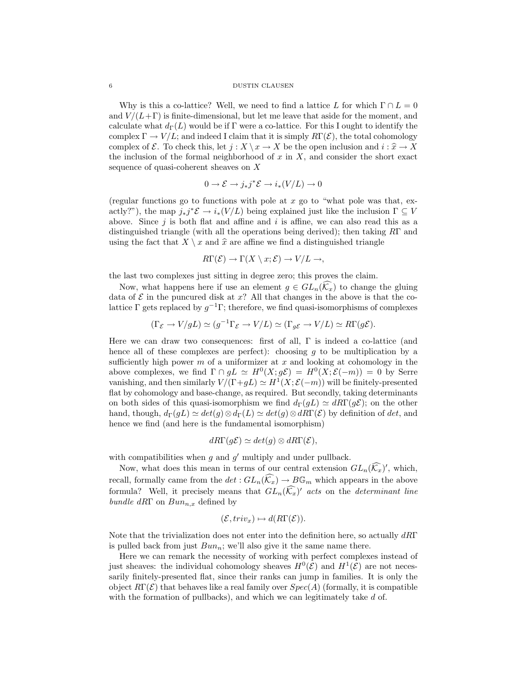#### 6 DUSTIN CLAUSEN

Why is this a co-lattice? Well, we need to find a lattice L for which  $\Gamma \cap L = 0$ and  $V/(L+\Gamma)$  is finite-dimensional, but let me leave that aside for the moment, and calculate what  $d_{\Gamma}(L)$  would be if Γ were a co-lattice. For this I ought to identify the complex  $\Gamma \to V/L$ ; and indeed I claim that it is simply  $R\Gamma(\mathcal{E})$ , the total cohomology complex of E. To check this, let  $j : X \ \ x \to X$  be the open inclusion and  $i : \hat{x} \to X$ the inclusion of the formal neighborhood of  $x$  in  $X$ , and consider the short exact sequence of quasi-coherent sheaves on X

$$
0 \to \mathcal{E} \to j_*j^*\mathcal{E} \to i_*(V/L) \to 0
$$

(regular functions go to functions with pole at  $x$  go to "what pole was that, exactly?"), the map  $j_*j^*\mathcal{E} \to i_*(V/L)$  being explained just like the inclusion  $\Gamma \subseteq V$ above. Since  $j$  is both flat and affine and  $i$  is affine, we can also read this as a distinguished triangle (with all the operations being derived); then taking RΓ and using the fact that  $X \setminus x$  and  $\hat{x}$  are affine we find a distinguished triangle

$$
R\Gamma(\mathcal{E}) \to \Gamma(X \setminus x; \mathcal{E}) \to V/L \to,
$$

the last two complexes just sitting in degree zero; this proves the claim.

Now, what happens here if use an element  $g \in GL_n(\mathcal{K}_x)$  to change the gluing data of  $\mathcal E$  in the puncured disk at  $x$ ? All that changes in the above is that the colattice  $\Gamma$  gets replaced by  $g^{-1}\Gamma$ ; therefore, we find quasi-isomorphisms of complexes

$$
(\Gamma_{\mathcal{E}} \to V/gL) \simeq (g^{-1}\Gamma_{\mathcal{E}} \to V/L) \simeq (\Gamma_{g\mathcal{E}} \to V/L) \simeq R\Gamma(g\mathcal{E}).
$$

Here we can draw two consequences: first of all,  $\Gamma$  is indeed a co-lattice (and hence all of these complexes are perfect): choosing q to be multiplication by a sufficiently high power  $m$  of a uniformizer at  $x$  and looking at cohomology in the above complexes, we find  $\Gamma \cap gL \simeq H^0(X; g\mathcal{E}) = H^0(X; \mathcal{E}(-m)) = 0$  by Serre vanishing, and then similarly  $V/(\Gamma + gL) \simeq H^1(X; \mathcal{E}(-m))$  will be finitely-presented flat by cohomology and base-change, as required. But secondly, taking determinants on both sides of this quasi-isomorphism we find  $d_{\Gamma}(qL) \simeq dR\Gamma(qE)$ ; on the other hand, though,  $d_{\Gamma}(gL) \simeq det(g) \otimes d_{\Gamma}(L) \simeq det(g) \otimes d_{\Gamma}(\mathcal{E})$  by definition of det, and hence we find (and here is the fundamental isomorphism)

$$
dR\Gamma(g\mathcal{E}) \simeq det(g) \otimes dR\Gamma(\mathcal{E}),
$$

with compatibilities when  $g$  and  $g'$  multiply and under pullback.

Now, what does this mean in terms of our central extension  $GL_n(\widehat{\mathcal{K}_x})'$ , which, recall, formally came from the  $det: GL_n(\widehat{k_x}) \to B\mathbb{G}_m$  which appears in the above formula? Well, it precisely means that  $GL_n(\widehat{K}_x)'$  acts on the determinant line bundle dRΓ on  $Bun_{n,x}$  defined by

$$
(\mathcal{E},triv_x)\mapsto d(R\Gamma(\mathcal{E})).
$$

Note that the trivialization does not enter into the definition here, so actually  $dR\Gamma$ is pulled back from just  $Bun_n$ ; we'll also give it the same name there.

Here we can remark the necessity of working with perfect complexes instead of just sheaves: the individual cohomology sheaves  $H^0(\mathcal{E})$  and  $H^1(\mathcal{E})$  are not necessarily finitely-presented flat, since their ranks can jump in families. It is only the object  $R\Gamma(\mathcal{E})$  that behaves like a real family over  $Spec(A)$  (formally, it is compatible with the formation of pullbacks), and which we can legitimately take  $d$  of.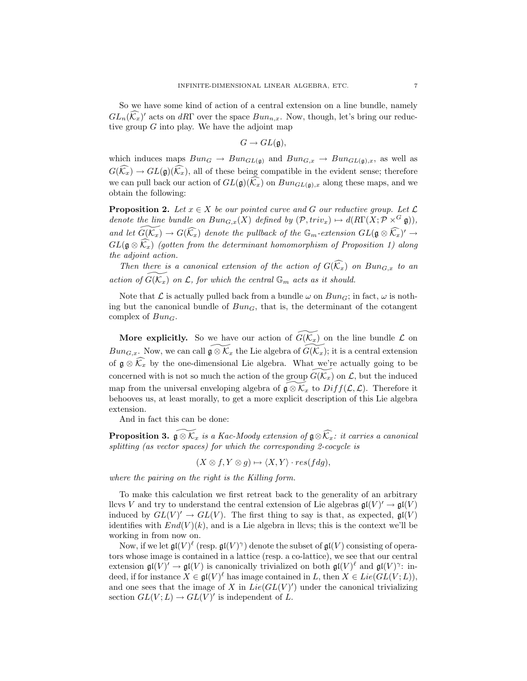So we have some kind of action of a central extension on a line bundle, namely  $GL_n(\widehat{K}_x)$  acts on dRΓ over the space  $Bun_{n,x}$ . Now, though, let's bring our reductive group  $G$  into play. We have the adjoint map

$$
G \to GL(\mathfrak{g}),
$$

which induces maps  $Bun_G \to Bun_{GL(\mathfrak{g})}$  and  $Bun_{G,x} \to Bun_{GL(\mathfrak{g}),x}$ , as well as  $G(\widehat{k_x}) \to GL(\mathfrak{g})(\widehat{k_x})$ , all of these being compatible in the evident sense; therefore we can pull back our action of  $GL(\mathfrak{g})(\widehat{k}_x)$  on  $Bun_{GL(\mathfrak{g}),x}$  along these maps, and we obtain the following:

**Proposition 2.** Let  $x \in X$  be our pointed curve and G our reductive group. Let  $\mathcal{L}$ denote the line bundle on  $Bun_{G,x}(X)$  defined by  $(\mathcal{P}, triv_x) \mapsto d(R\Gamma(X; \mathcal{P} \times^G \mathfrak{g})),$ and let  $\widetilde{G(\mathcal{K}_x)} \to G(\widehat{\mathcal{K}_x})$  denote the pullback of the  $\mathbb{G}_m$ -extension  $GL(\mathfrak{g} \otimes \widehat{\mathcal{K}_x})' \to$  $GL(\mathfrak{g}\otimes\widehat{\mathcal{K}}_x)$  (gotten from the determinant homomorphism of Proposition 1) along the adjoint action.

Then there is a canonical extension of the action of  $G(\widehat{K}_x)$  on  $Bun_{G,x}$  to an action of  $\widetilde{G(\mathcal{K}_x)}$  on  $\mathcal{L}$ , for which the central  $\mathbb{G}_m$  acts as it should.

Note that  $\mathcal L$  is actually pulled back from a bundle  $\omega$  on  $Bun_G$ ; in fact,  $\omega$  is nothing but the canonical bundle of  $Bun_G$ , that is, the determinant of the cotangent complex of  $Bun_G$ .

More explicitly. So we have our action of  $\widetilde{G}(\widetilde{K_x})$  on the line bundle  $\mathcal L$  on  $Bun_{G,x}$ . Now, we can call  $\widetilde{\mathfrak{g}\otimes\mathcal{K}_x}$  the Lie algebra of  $\widetilde{G(\mathcal{K}_x)}$ ; it is a central extension of  $\mathfrak{g} \otimes \widehat{\mathcal{K}_x}$  by the one-dimensional Lie algebra. What we're actually going to be concerned with is not so much the action of the group  $G(\mathcal{K}_x)$  on  $\mathcal{L}$ , but the induced map from the universal enveloping algebra of  $\mathfrak{g} \otimes \mathcal{K}_x$  to  $Diff(\mathcal{L},\mathcal{L})$ . Therefore it behooves us, at least morally, to get a more explicit description of this Lie algebra extension.

And in fact this can be done:

**Proposition 3.**  $\widetilde{\mathfrak{g}\otimes K_x}$  is a Kac-Moody extension of  $\mathfrak{g}\otimes\widehat{K_x}$ : it carries a canonical splitting (as vector spaces) for which the corresponding 2-cocycle is

$$
(X \otimes f, Y \otimes g) \mapsto \langle X, Y \rangle \cdot res(fdg),
$$

where the pairing on the right is the Killing form.

To make this calculation we first retreat back to the generality of an arbitrary llcvs V and try to understand the central extension of Lie algebras  $\mathfrak{gl}(V)' \to \mathfrak{gl}(V)$ induced by  $GL(V)' \to GL(V)$ . The first thing to say is that, as expected,  $\mathfrak{gl}(V)$ identifies with  $End(V)(k)$ , and is a Lie algebra in llcvs; this is the context we'll be working in from now on.

Now, if we let  $\mathfrak{gl}(V)^{\ell}$  (resp.  $\mathfrak{gl}(V)^{\gamma}$ ) denote the subset of  $\mathfrak{gl}(V)$  consisting of operators whose image is contained in a lattice (resp. a co-lattice), we see that our central extension  $\mathfrak{gl}(V)' \to \mathfrak{gl}(V)$  is canonically trivialized on both  $\mathfrak{gl}(V)^{\ell}$  and  $\mathfrak{gl}(V)^{\gamma}$ : indeed, if for instance  $X \in \mathfrak{gl}(V)^{\ell}$  has image contained in L, then  $X \in Lie(GL(V;L)),$ and one sees that the image of X in  $Lie(GL(V)')$  under the canonical trivializing section  $GL(V;L) \to GL(V)'$  is independent of L.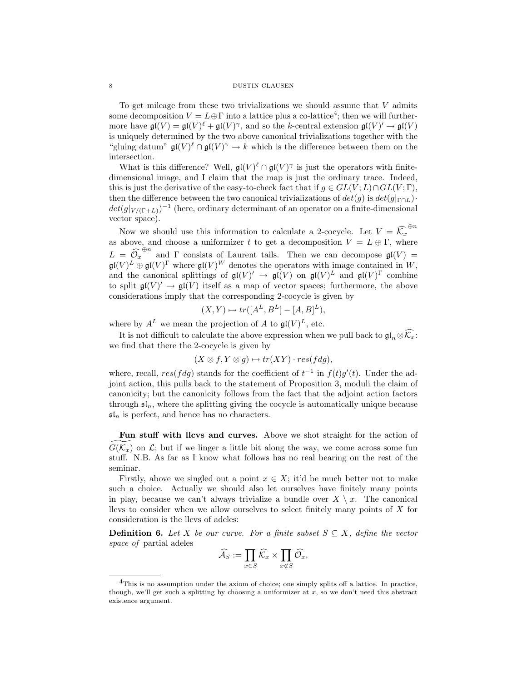### 8 DUSTIN CLAUSEN

To get mileage from these two trivializations we should assume that  $V$  admits some decomposition  $V = L \oplus \Gamma$  into a lattice plus a co-lattice<sup>4</sup>; then we will furthermore have  $\mathfrak{gl}(V) = \mathfrak{gl}(V)^{\ell} + \mathfrak{gl}(V)^{\gamma}$ , and so the k-central extension  $\mathfrak{gl}(V)' \to \mathfrak{gl}(V)$ is uniquely determined by the two above canonical trivializations together with the "gluing datum"  $\mathfrak{gl}(V)^{\ell} \cap \mathfrak{gl}(V)^{\gamma} \to k$  which is the difference between them on the intersection.

What is this difference? Well,  $\mathfrak{gl}(V)^{\ell} \cap \mathfrak{gl}(V)^{\gamma}$  is just the operators with finitedimensional image, and I claim that the map is just the ordinary trace. Indeed, this is just the derivative of the easy-to-check fact that if  $g \in GL(V;L) \cap GL(V; \Gamma)$ , then the difference between the two canonical trivializations of  $det(g)$  is  $det(g|_{\Gamma \cap L})$ .  $det(g|_{V/(\Gamma+L)})^{-1}$  (here, ordinary determinant of an operator on a finite-dimensional vector space).

Now we should use this information to calculate a 2-cocycle. Let  $V = \widehat{\mathcal{K}}_x^{\oplus n}$ as above, and choose a uniformizer t to get a decomposition  $V = L \oplus \Gamma$ , where  $L = \widehat{Q_x}^{\oplus n}$  and  $\Gamma$  consists of Laurent tails. Then we can decompose  $\mathfrak{gl}(V) =$  $\mathfrak{gl}(V)^L\oplus\mathfrak{gl}(V)^\Gamma$  where  $\mathfrak{gl}(V)^W$  denotes the operators with image contained in W, and the canonical splittings of  $\mathfrak{gl}(V)' \to \mathfrak{gl}(V)$  on  $\mathfrak{gl}(V)^L$  and  $\mathfrak{gl}(V)^{\Gamma}$  combine to split  $\mathfrak{gl}(V)' \to \mathfrak{gl}(V)$  itself as a map of vector spaces; furthermore, the above considerations imply that the corresponding 2-cocycle is given by

$$
(X, Y) \mapsto tr([A^L, B^L] - [A, B]^L),
$$

where by  $A^L$  we mean the projection of A to  $\mathfrak{gl}(V)^L$ , etc.

It is not difficult to calculate the above expression when we pull back to  $\mathfrak{gl}_n \otimes \widehat{\mathcal{K}_x}$ : we find that there the 2-cocycle is given by

$$
(X \otimes f, Y \otimes g) \mapsto tr(XY) \cdot res(fdg),
$$

where, recall,  $res(fdg)$  stands for the coefficient of  $t^{-1}$  in  $f(t)g'(t)$ . Under the adjoint action, this pulls back to the statement of Proposition 3, moduli the claim of canonicity; but the canonicity follows from the fact that the adjoint action factors through  $\mathfrak{sl}_n$ , where the splitting giving the cocycle is automatically unique because  $\mathfrak{sl}_n$  is perfect, and hence has no characters.

Fun stuff with llcvs and curves. Above we shot straight for the action of  $G(\mathcal{K}_x)$  on  $\mathcal{L};$  but if we linger a little bit along the way, we come across some fun stuff. N.B. As far as I know what follows has no real bearing on the rest of the seminar.

Firstly, above we singled out a point  $x \in X$ ; it'd be much better not to make such a choice. Actually we should also let ourselves have finitely many points in play, because we can't always trivialize a bundle over  $X \setminus x$ . The canonical llcvs to consider when we allow ourselves to select finitely many points of X for consideration is the llcvs of adeles:

**Definition 6.** Let X be our curve. For a finite subset  $S \subseteq X$ , define the vector space of partial adeles

$$
\widehat{\mathcal{A}}_S := \prod_{x \in S} \widehat{\mathcal{K}}_x \times \prod_{x \notin S} \widehat{\mathcal{O}}_x,
$$

<sup>4</sup>This is no assumption under the axiom of choice; one simply splits off a lattice. In practice, though, we'll get such a splitting by choosing a uniformizer at  $x$ , so we don't need this abstract existence argument.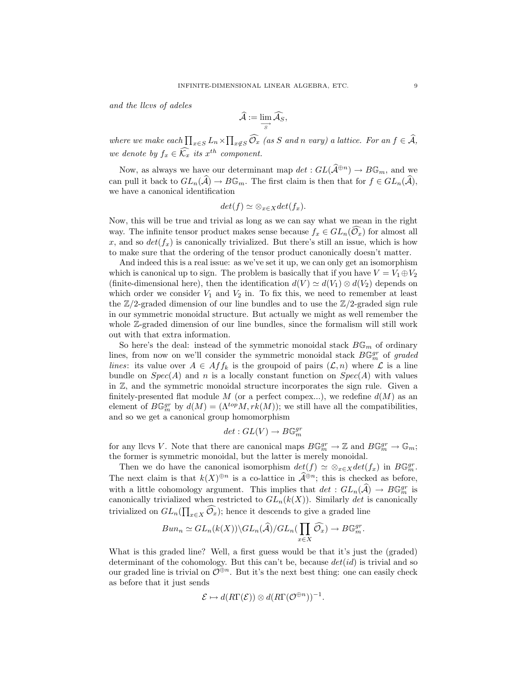and the llcvs of adeles

$$
\widehat{\mathcal{A}} := \lim_{\substack{\longrightarrow \\ S}} \widehat{\mathcal{A}}_S,
$$

where we make each  $\prod_{x \in S} L_n \times \prod_{x \notin S} \hat{\mathcal{O}}_x$  (as S and n vary) a lattice. For an  $f \in \mathcal{A}$ , we denote by  $f_x \in \widehat{\mathcal{K}_x}$  its  $x^{th}$  component.

Now, as always we have our determinant map  $det: GL(\widehat{\mathcal{A}}^{\oplus n}) \to B\mathbb{G}_m$ , and we can pull it back to  $GL_n(\widehat{\mathcal{A}})\to B\mathbb{G}_m$ . The first claim is then that for  $f\in GL_n(\widehat{\mathcal{A}})$ , we have a canonical identification

$$
det(f) \simeq \otimes_{x \in X} det(f_x).
$$

Now, this will be true and trivial as long as we can say what we mean in the right way. The infinite tensor product makes sense because  $f_x \in GL_n(\overline{\mathcal{O}_x})$  for almost all x, and so  $det(f_x)$  is canonically trivialized. But there's still an issue, which is how to make sure that the ordering of the tensor product canonically doesn't matter.

And indeed this is a real issue: as we've set it up, we can only get an isomorphism which is canonical up to sign. The problem is basically that if you have  $V = V_1 \oplus V_2$ (finite-dimensional here), then the identification  $d(V) \simeq d(V_1) \otimes d(V_2)$  depends on which order we consider  $V_1$  and  $V_2$  in. To fix this, we need to remember at least the  $\mathbb{Z}/2$ -graded dimension of our line bundles and to use the  $\mathbb{Z}/2$ -graded sign rule in our symmetric monoidal structure. But actually we might as well remember the whole Z-graded dimension of our line bundles, since the formalism will still work out with that extra information.

So here's the deal: instead of the symmetric monoidal stack  $B\mathbb{G}_m$  of ordinary lines, from now on we'll consider the symmetric monoidal stack  $B\mathbb{G}_m^{gr}$  of graded *lines*: its value over  $A \in Aff_k$  is the groupoid of pairs  $(\mathcal{L}, n)$  where  $\mathcal L$  is a line bundle on  $Spec(A)$  and n is a locally constant function on  $Spec(A)$  with values in Z, and the symmetric monoidal structure incorporates the sign rule. Given a finitely-presented flat module M (or a perfect compex...), we redefine  $d(M)$  as an element of  $B\mathbb{G}_m^{gr}$  by  $d(M) = (\Lambda^{top}M, rk(M))$ ; we still have all the compatibilities, and so we get a canonical group homomorphism

$$
det: GL(V) \to B\mathbb{G}_m^{gr}
$$

for any llcvs V. Note that there are canonical maps  $B\mathbb{G}_m^{gr} \to \mathbb{Z}$  and  $B\mathbb{G}_m^{gr} \to \mathbb{G}_m$ ; the former is symmetric monoidal, but the latter is merely monoidal.

Then we do have the canonical isomorphism  $det(f) \simeq \otimes_{x \in X} det(f_x)$  in  $B\mathbb{G}_m^{gr}$ . The next claim is that  $k(X)^{\oplus n}$  is a co-lattice in  $\widehat{\mathcal{A}}^{\oplus n}$ ; this is checked as before, with a little cohomology argument. This implies that  $det: GL_n(\widehat{A}) \to B\mathbb{G}_m^{gr}$  is canonically trivialized when restricted to  $GL_n(k(X))$ . Similarly det is canonically trivialized on  $GL_n(\prod_{x\in X}\mathcal{O}_x)$ ; hence it descends to give a graded line

$$
Bun_n \simeq GL_n(k(X))\backslash GL_n(\widehat{A})/GL_n(\prod_{x\in X}\widehat{\mathcal{O}_x}) \to B\mathbb{G}_m^{gr}.
$$

What is this graded line? Well, a first guess would be that it's just the (graded) determinant of the cohomology. But this can't be, because  $det(id)$  is trivial and so our graded line is trivial on  $\mathcal{O}^{\oplus n}$ . But it's the next best thing: one can easily check as before that it just sends

$$
\mathcal{E} \mapsto d(R\Gamma(\mathcal{E})) \otimes d(R\Gamma(\mathcal{O}^{\oplus n}))^{-1}.
$$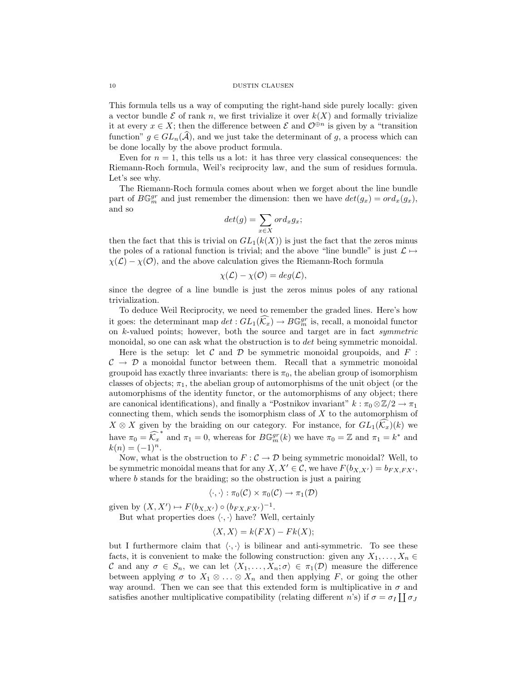#### 10 DUSTIN CLAUSEN

This formula tells us a way of computing the right-hand side purely locally: given a vector bundle  $\mathcal E$  of rank n, we first trivialize it over  $k(X)$  and formally trivialize it at every  $x \in X$ ; then the difference between  $\mathcal E$  and  $\mathcal O^{\oplus n}$  is given by a "transition" function"  $g \in GL_n(\widehat{A})$ , and we just take the determinant of g, a process which can be done locally by the above product formula.

Even for  $n = 1$ , this tells us a lot: it has three very classical consequences: the Riemann-Roch formula, Weil's reciprocity law, and the sum of residues formula. Let's see why.

The Riemann-Roch formula comes about when we forget about the line bundle part of  $B\mathbb{G}_m^{gr}$  and just remember the dimension: then we have  $det(g_x) = ord_x(g_x)$ , and so

$$
det(g) = \sum_{x \in X} ord_x g_x;
$$

then the fact that this is trivial on  $GL_1(k(X))$  is just the fact that the zeros minus the poles of a rational function is trivial; and the above "line bundle" is just  $\mathcal{L} \mapsto$  $\chi(\mathcal{L}) - \chi(\mathcal{O})$ , and the above calculation gives the Riemann-Roch formula

$$
\chi(\mathcal{L}) - \chi(\mathcal{O}) = deg(\mathcal{L}),
$$

since the degree of a line bundle is just the zeros minus poles of any rational trivialization.

To deduce Weil Reciprocity, we need to remember the graded lines. Here's how it goes: the determinant map  $det: GL_1(\widehat{\mathcal{K}_x}) \to B\mathbb{G}_m^{gr}$  is, recall, a monoidal functor on k-valued points; however, both the source and target are in fact symmetric monoidal, so one can ask what the obstruction is to *det* being symmetric monoidal.

Here is the setup: let  $\mathcal C$  and  $\mathcal D$  be symmetric monoidal groupoids, and  $F$ :  $\mathcal{C} \rightarrow \mathcal{D}$  a monoidal functor between them. Recall that a symmetric monoidal groupoid has exactly three invariants: there is  $\pi_0$ , the abelian group of isomorphism classes of objects;  $\pi_1$ , the abelian group of automorphisms of the unit object (or the automorphisms of the identity functor, or the automorphisms of any object; there are canonical identifications), and finally a "Postnikov invariant"  $k : \pi_0 \otimes \mathbb{Z}/2 \to \pi_1$ connecting them, which sends the isomorphism class of  $X$  to the automorphism of  $X \otimes X$  given by the braiding on our category. For instance, for  $GL_1(\widehat{\mathcal{K}}_x)(k)$  we have  $\pi_0 = \widehat{K}_x^*$  and  $\pi_1 = 0$ , whereas for  $B\mathbb{G}_m^{gr}(k)$  we have  $\pi_0 = \mathbb{Z}$  and  $\pi_1 = k^*$  and  $k(n) = (-1)^n$ .

Now, what is the obstruction to  $F: \mathcal{C} \to \mathcal{D}$  being symmetric monoidal? Well, to be symmetric monoidal means that for any  $X, X' \in \mathcal{C}$ , we have  $F(b_{X,X'}) = b_{FX,FX'}$ , where  $b$  stands for the braiding; so the obstruction is just a pairing

$$
\langle \cdot, \cdot \rangle : \pi_0(\mathcal{C}) \times \pi_0(\mathcal{C}) \to \pi_1(\mathcal{D})
$$

given by  $(X, X') \mapsto F(b_{X, X'}) \circ (b_{FX, FX'})^{-1}$ .

But what properties does  $\langle \cdot, \cdot \rangle$  have? Well, certainly

$$
\langle X, X \rangle = k(FX) - Fk(X);
$$

but I furthermore claim that  $\langle \cdot, \cdot \rangle$  is bilinear and anti-symmetric. To see these facts, it is convenient to make the following construction: given any  $X_1, \ldots, X_n \in$ C and any  $\sigma \in S_n$ , we can let  $\langle X_1, \ldots, X_n; \sigma \rangle \in \pi_1(\mathcal{D})$  measure the difference between applying  $\sigma$  to  $X_1 \otimes \ldots \otimes X_n$  and then applying F, or going the other way around. Then we can see that this extended form is multiplicative in  $\sigma$  and satisfies another multiplicative compatibility (relating different *n*'s) if  $\sigma = \sigma_I \coprod \sigma_J$